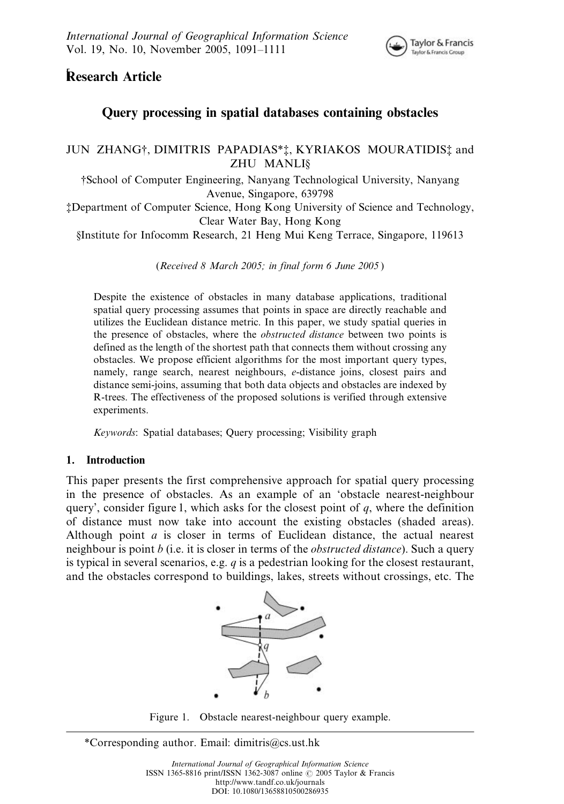

# *[* Research Article

## Query processing in spatial databases containing obstacles

### JUN ZHANG<sup>†</sup>, DIMITRIS PAPADIAS<sup>\*</sup><sup>†</sup>, KYRIAKOS MOURATIDIS<sup>†</sup> and ZHU MANLI§

{School of Computer Engineering, Nanyang Technological University, Nanyang Avenue, Singapore, 639798

{Department of Computer Science, Hong Kong University of Science and Technology, Clear Water Bay, Hong Kong

§Institute for Infocomm Research, 21 Heng Mui Keng Terrace, Singapore, 119613

(Received 8 March 2005; in final form 6 June 2005 )

Despite the existence of obstacles in many database applications, traditional spatial query processing assumes that points in space are directly reachable and utilizes the Euclidean distance metric. In this paper, we study spatial queries in the presence of obstacles, where the *obstructed distance* between two points is defined as the length of the shortest path that connects them without crossing any obstacles. We propose efficient algorithms for the most important query types, namely, range search, nearest neighbours, e-distance joins, closest pairs and distance semi-joins, assuming that both data objects and obstacles are indexed by R-trees. The effectiveness of the proposed solutions is verified through extensive experiments.

Keywords: Spatial databases; Query processing; Visibility graph

### 1. Introduction

This paper presents the first comprehensive approach for spatial query processing in the presence of obstacles. As an example of an 'obstacle nearest-neighbour query', consider figure 1, which asks for the closest point of  $q$ , where the definition of distance must now take into account the existing obstacles (shaded areas). Although point a is closer in terms of Euclidean distance, the actual nearest neighbour is point *b* (i.e. it is closer in terms of the *obstructed distance*). Such a query is typical in several scenarios, e.g.  $q$  is a pedestrian looking for the closest restaurant, and the obstacles correspond to buildings, lakes, streets without crossings, etc. The



Figure 1. Obstacle nearest-neighbour query example.

\*Corresponding author. Email: dimitris@cs.ust.hk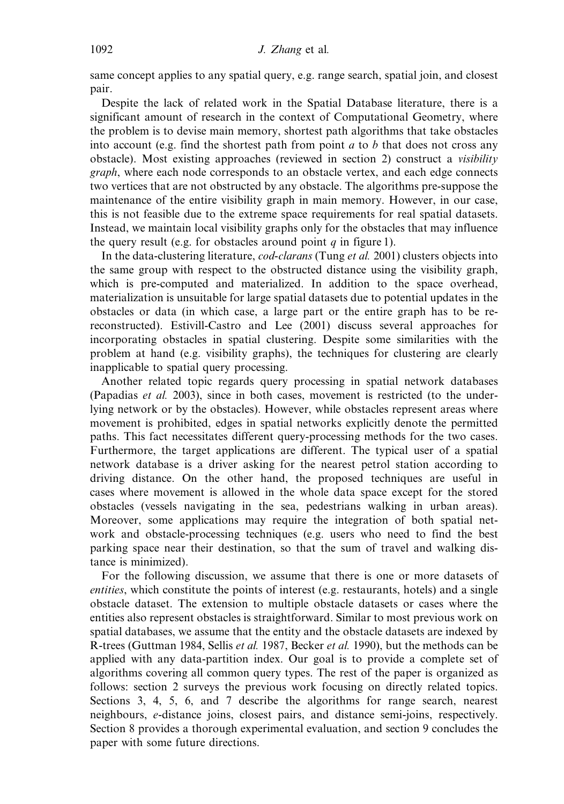same concept applies to any spatial query, e.g. range search, spatial join, and closest pair.

Despite the lack of related work in the Spatial Database literature, there is a significant amount of research in the context of Computational Geometry, where the problem is to devise main memory, shortest path algorithms that take obstacles into account (e.g. find the shortest path from point  $a$  to  $b$  that does not cross any obstacle). Most existing approaches (reviewed in section 2) construct a visibility graph, where each node corresponds to an obstacle vertex, and each edge connects two vertices that are not obstructed by any obstacle. The algorithms pre-suppose the maintenance of the entire visibility graph in main memory. However, in our case, this is not feasible due to the extreme space requirements for real spatial datasets. Instead, we maintain local visibility graphs only for the obstacles that may influence the query result (e.g. for obstacles around point  $q$  in figure 1).

In the data-clustering literature, *cod-clarans* (Tung *et al.* 2001) clusters objects into the same group with respect to the obstructed distance using the visibility graph, which is pre-computed and materialized. In addition to the space overhead, materialization is unsuitable for large spatial datasets due to potential updates in the obstacles or data (in which case, a large part or the entire graph has to be rereconstructed). Estivill-Castro and Lee (2001) discuss several approaches for incorporating obstacles in spatial clustering. Despite some similarities with the problem at hand (e.g. visibility graphs), the techniques for clustering are clearly inapplicable to spatial query processing.

Another related topic regards query processing in spatial network databases (Papadias et al. 2003), since in both cases, movement is restricted (to the underlying network or by the obstacles). However, while obstacles represent areas where movement is prohibited, edges in spatial networks explicitly denote the permitted paths. This fact necessitates different query-processing methods for the two cases. Furthermore, the target applications are different. The typical user of a spatial network database is a driver asking for the nearest petrol station according to driving distance. On the other hand, the proposed techniques are useful in cases where movement is allowed in the whole data space except for the stored obstacles (vessels navigating in the sea, pedestrians walking in urban areas). Moreover, some applications may require the integration of both spatial network and obstacle-processing techniques (e.g. users who need to find the best parking space near their destination, so that the sum of travel and walking distance is minimized).

For the following discussion, we assume that there is one or more datasets of entities, which constitute the points of interest (e.g. restaurants, hotels) and a single obstacle dataset. The extension to multiple obstacle datasets or cases where the entities also represent obstacles is straightforward. Similar to most previous work on spatial databases, we assume that the entity and the obstacle datasets are indexed by R-trees (Guttman 1984, Sellis et al. 1987, Becker et al. 1990), but the methods can be applied with any data-partition index. Our goal is to provide a complete set of algorithms covering all common query types. The rest of the paper is organized as follows: section 2 surveys the previous work focusing on directly related topics. Sections 3, 4, 5, 6, and 7 describe the algorithms for range search, nearest neighbours, e-distance joins, closest pairs, and distance semi-joins, respectively. Section 8 provides a thorough experimental evaluation, and section 9 concludes the paper with some future directions.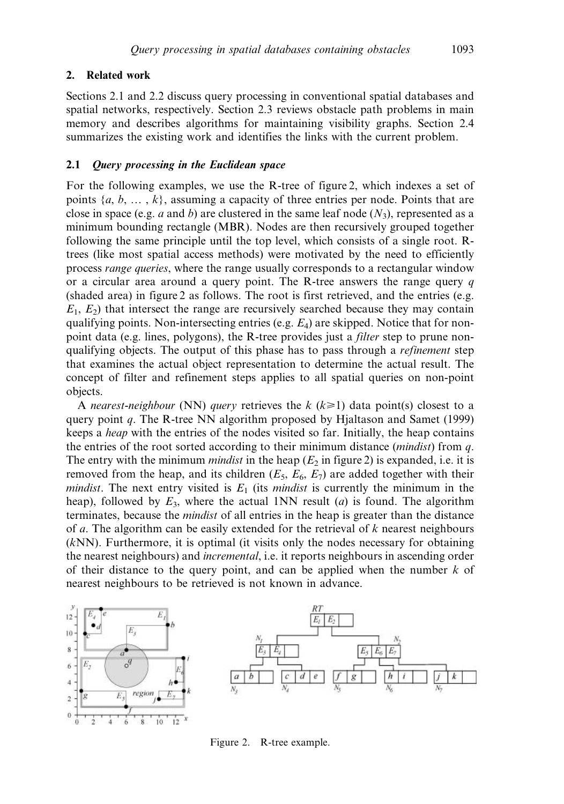### 2. Related work

Sections 2.1 and 2.2 discuss query processing in conventional spatial databases and spatial networks, respectively. Section 2.3 reviews obstacle path problems in main memory and describes algorithms for maintaining visibility graphs. Section 2.4 summarizes the existing work and identifies the links with the current problem.

#### 2.1 Query processing in the Euclidean space

For the following examples, we use the R-tree of figure 2, which indexes a set of points  $\{a, b, \ldots, k\}$ , assuming a capacity of three entries per node. Points that are close in space (e.g. a and b) are clustered in the same leaf node  $(N_3)$ , represented as a minimum bounding rectangle (MBR). Nodes are then recursively grouped together following the same principle until the top level, which consists of a single root. Rtrees (like most spatial access methods) were motivated by the need to efficiently process range queries, where the range usually corresponds to a rectangular window or a circular area around a query point. The R-tree answers the range query  $q$ (shaded area) in figure 2 as follows. The root is first retrieved, and the entries (e.g.  $E_1, E_2$ ) that intersect the range are recursively searched because they may contain qualifying points. Non-intersecting entries (e.g.  $E_4$ ) are skipped. Notice that for nonpoint data (e.g. lines, polygons), the R-tree provides just a *filter* step to prune nonqualifying objects. The output of this phase has to pass through a *refinement* step that examines the actual object representation to determine the actual result. The concept of filter and refinement steps applies to all spatial queries on non-point objects.

A nearest-neighbour (NN) query retrieves the k  $(k\geq 1)$  data point(s) closest to a query point q. The R-tree NN algorithm proposed by Hjaltason and Samet (1999) keeps a heap with the entries of the nodes visited so far. Initially, the heap contains the entries of the root sorted according to their minimum distance (*mindist*) from  $q$ . The entry with the minimum *mindist* in the heap  $(E_2$  in figure 2) is expanded, i.e. it is removed from the heap, and its children ( $E_5$ ,  $E_6$ ,  $E_7$ ) are added together with their mindist. The next entry visited is  $E_1$  (its mindist is currently the minimum in the heap), followed by  $E_3$ , where the actual 1NN result (*a*) is found. The algorithm terminates, because the mindist of all entries in the heap is greater than the distance of a. The algorithm can be easily extended for the retrieval of  $k$  nearest neighbours (kNN). Furthermore, it is optimal (it visits only the nodes necessary for obtaining the nearest neighbours) and incremental, i.e. it reports neighbours in ascending order of their distance to the query point, and can be applied when the number  $k$  of nearest neighbours to be retrieved is not known in advance.



Figure 2. R-tree example.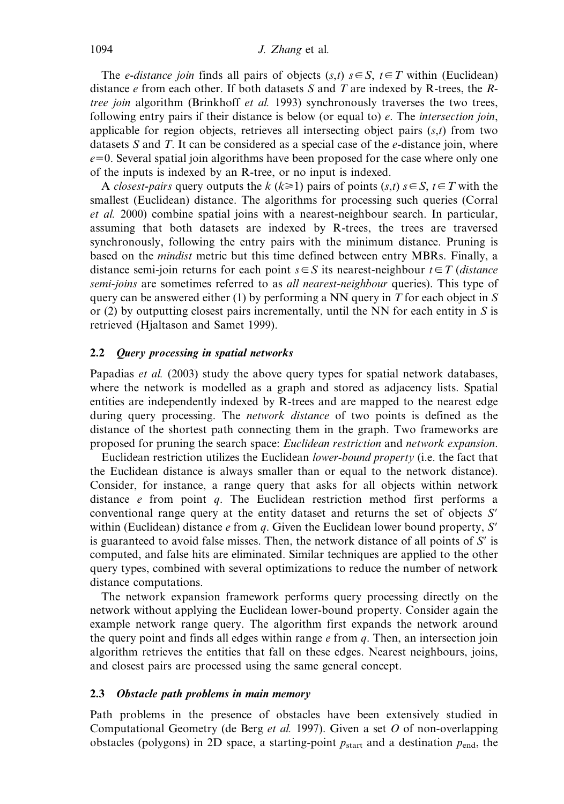The *e-distance join* finds all pairs of objects  $(s,t)$   $s \in S$ ,  $t \in T$  within (Euclidean) distance  $e$  from each other. If both datasets S and T are indexed by R-trees, the Rtree join algorithm (Brinkhoff et al. 1993) synchronously traverses the two trees, following entry pairs if their distance is below (or equal to)  $e$ . The *intersection join*, applicable for region objects, retrieves all intersecting object pairs  $(s,t)$  from two datasets  $S$  and  $T$ . It can be considered as a special case of the  $e$ -distance join, where  $e=0$ . Several spatial join algorithms have been proposed for the case where only one of the inputs is indexed by an R-tree, or no input is indexed.

A *closest-pairs* query outputs the k  $(k\geq 1)$  pairs of points  $(s,t)$   $s\in S$ ,  $t\in T$  with the smallest (Euclidean) distance. The algorithms for processing such queries (Corral et al. 2000) combine spatial joins with a nearest-neighbour search. In particular, assuming that both datasets are indexed by R-trees, the trees are traversed synchronously, following the entry pairs with the minimum distance. Pruning is based on the mindist metric but this time defined between entry MBRs. Finally, a distance semi-join returns for each point  $s \in S$  its nearest-neighbour  $t \in T$  (distance semi-joins are sometimes referred to as *all nearest-neighbour* queries). This type of query can be answered either (1) by performing a NN query in  $T$  for each object in  $S$ or (2) by outputting closest pairs incrementally, until the NN for each entity in  $S$  is retrieved (Hjaltason and Samet 1999).

#### 2.2 Query processing in spatial networks

Papadias *et al.* (2003) study the above query types for spatial network databases, where the network is modelled as a graph and stored as adjacency lists. Spatial entities are independently indexed by R-trees and are mapped to the nearest edge during query processing. The *network distance* of two points is defined as the distance of the shortest path connecting them in the graph. Two frameworks are proposed for pruning the search space: Euclidean restriction and network expansion.

Euclidean restriction utilizes the Euclidean lower-bound property (i.e. the fact that the Euclidean distance is always smaller than or equal to the network distance). Consider, for instance, a range query that asks for all objects within network distance  $e$  from point  $q$ . The Euclidean restriction method first performs a conventional range query at the entity dataset and returns the set of objects  $S'$ within (Euclidean) distance e from q. Given the Euclidean lower bound property,  $S'$ is guaranteed to avoid false misses. Then, the network distance of all points of  $S'$  is computed, and false hits are eliminated. Similar techniques are applied to the other query types, combined with several optimizations to reduce the number of network distance computations.

The network expansion framework performs query processing directly on the network without applying the Euclidean lower-bound property. Consider again the example network range query. The algorithm first expands the network around the query point and finds all edges within range  $e$  from  $q$ . Then, an intersection join algorithm retrieves the entities that fall on these edges. Nearest neighbours, joins, and closest pairs are processed using the same general concept.

#### 2.3 Obstacle path problems in main memory

Path problems in the presence of obstacles have been extensively studied in Computational Geometry (de Berg *et al.* 1997). Given a set  $O$  of non-overlapping obstacles (polygons) in 2D space, a starting-point  $p_{\text{start}}$  and a destination  $p_{\text{end}}$ , the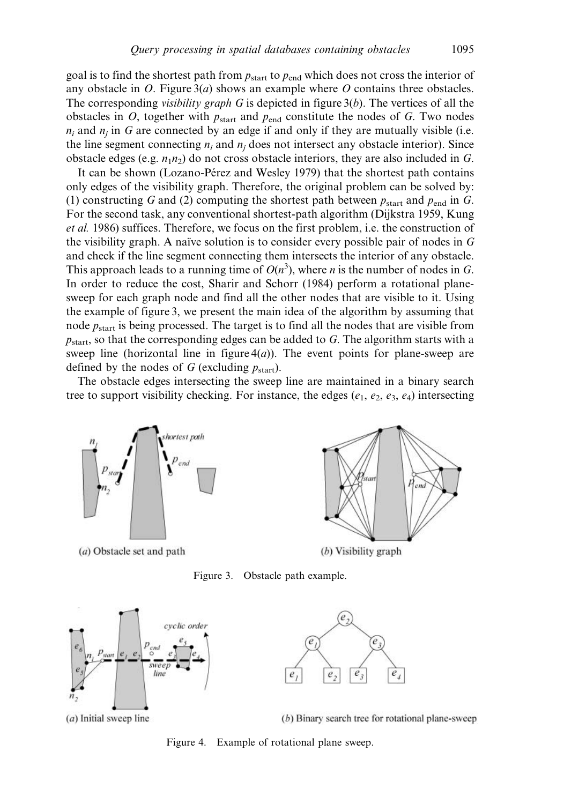goal is to find the shortest path from  $p_{\text{start}}$  to  $p_{\text{end}}$  which does not cross the interior of any obstacle in O. Figure  $3(a)$  shows an example where O contains three obstacles. The corresponding *visibility graph* G is depicted in figure  $3(b)$ . The vertices of all the obstacles in  $O$ , together with  $p_{start}$  and  $p_{end}$  constitute the nodes of  $G$ . Two nodes  $n_i$  and  $n_j$  in G are connected by an edge if and only if they are mutually visible (i.e. the line segment connecting  $n_i$  and  $n_j$  does not intersect any obstacle interior). Since obstacle edges (e.g.  $n_1n_2$ ) do not cross obstacle interiors, they are also included in G.

It can be shown (Lozano-Pérez and Wesley 1979) that the shortest path contains only edges of the visibility graph. Therefore, the original problem can be solved by: (1) constructing G and (2) computing the shortest path between  $p_{start}$  and  $p_{end}$  in G. For the second task, any conventional shortest-path algorithm (Dijkstra 1959, Kung et al. 1986) suffices. Therefore, we focus on the first problem, i.e. the construction of the visibility graph. A naïve solution is to consider every possible pair of nodes in  $G$ and check if the line segment connecting them intersects the interior of any obstacle. This approach leads to a running time of  $O(n^3)$ , where *n* is the number of nodes in G. In order to reduce the cost, Sharir and Schorr (1984) perform a rotational planesweep for each graph node and find all the other nodes that are visible to it. Using the example of figure 3, we present the main idea of the algorithm by assuming that node  $p_{start}$  is being processed. The target is to find all the nodes that are visible from  $p_{\text{start}}$ , so that the corresponding edges can be added to G. The algorithm starts with a sweep line (horizontal line in figure  $4(a)$ ). The event points for plane-sweep are defined by the nodes of G (excluding  $p_{start}$ ).

The obstacle edges intersecting the sweep line are maintained in a binary search tree to support visibility checking. For instance, the edges ( $e_1, e_2, e_3, e_4$ ) intersecting



(a) Obstacle set and path



Figure 3. Obstacle path example.



 $(a)$  Initial sweep line

(b) Binary search tree for rotational plane-sweep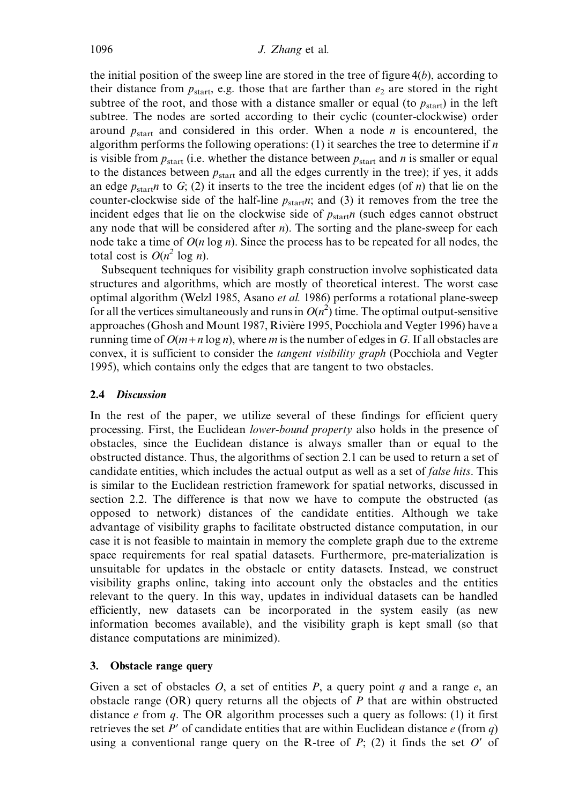the initial position of the sweep line are stored in the tree of figure  $4(b)$ , according to their distance from  $p_{\text{start}}$ , e.g. those that are farther than  $e_2$  are stored in the right subtree of the root, and those with a distance smaller or equal (to  $p_{start}$ ) in the left subtree. The nodes are sorted according to their cyclic (counter-clockwise) order around  $p_{\text{start}}$  and considered in this order. When a node *n* is encountered, the algorithm performs the following operations: (1) it searches the tree to determine if  $n$ is visible from  $p_{start}$  (i.e. whether the distance between  $p_{start}$  and n is smaller or equal to the distances between  $p_{start}$  and all the edges currently in the tree); if yes, it adds an edge  $p_{\text{start}}$  to G; (2) it inserts to the tree the incident edges (of *n*) that lie on the counter-clockwise side of the half-line  $p_{start}$ , and (3) it removes from the tree the incident edges that lie on the clockwise side of  $p_{start}$  (such edges cannot obstruct any node that will be considered after  $n$ ). The sorting and the plane-sweep for each node take a time of  $O(n \log n)$ . Since the process has to be repeated for all nodes, the total cost is  $O(n^2 \log n)$ .

Subsequent techniques for visibility graph construction involve sophisticated data structures and algorithms, which are mostly of theoretical interest. The worst case optimal algorithm (Welzl 1985, Asano et al. 1986) performs a rotational plane-sweep for all the vertices simultaneously and runs in  $O(n^2)$  time. The optimal output-sensitive approaches (Ghosh and Mount 1987, Rivière 1995, Pocchiola and Vegter 1996) have a running time of  $O(m + n \log n)$ , where m is the number of edges in G. If all obstacles are convex, it is sufficient to consider the *tangent visibility graph* (Pocchiola and Vegter 1995), which contains only the edges that are tangent to two obstacles.

### 2.4 Discussion

In the rest of the paper, we utilize several of these findings for efficient query processing. First, the Euclidean lower-bound property also holds in the presence of obstacles, since the Euclidean distance is always smaller than or equal to the obstructed distance. Thus, the algorithms of section 2.1 can be used to return a set of candidate entities, which includes the actual output as well as a set of *false hits*. This is similar to the Euclidean restriction framework for spatial networks, discussed in section 2.2. The difference is that now we have to compute the obstructed (as opposed to network) distances of the candidate entities. Although we take advantage of visibility graphs to facilitate obstructed distance computation, in our case it is not feasible to maintain in memory the complete graph due to the extreme space requirements for real spatial datasets. Furthermore, pre-materialization is unsuitable for updates in the obstacle or entity datasets. Instead, we construct visibility graphs online, taking into account only the obstacles and the entities relevant to the query. In this way, updates in individual datasets can be handled efficiently, new datasets can be incorporated in the system easily (as new information becomes available), and the visibility graph is kept small (so that distance computations are minimized).

### 3. Obstacle range query

Given a set of obstacles O, a set of entities P, a query point q and a range  $e$ , an obstacle range  $(OR)$  query returns all the objects of P that are within obstructed distance e from q. The OR algorithm processes such a query as follows: (1) it first retrieves the set P' of candidate entities that are within Euclidean distance  $e$  (from  $q$ ) using a conventional range query on the R-tree of  $P$ ; (2) it finds the set  $O'$  of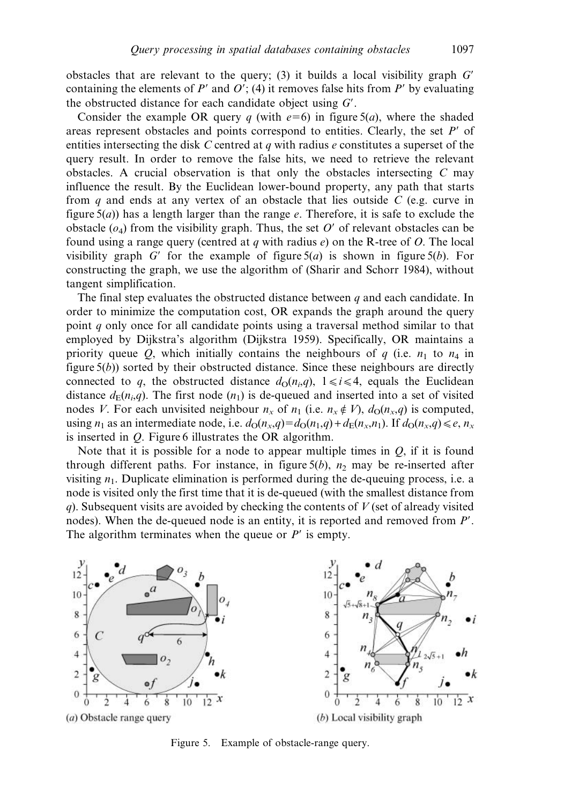obstacles that are relevant to the query; (3) it builds a local visibility graph  $G'$ containing the elements of  $P'$  and  $O'$ ; (4) it removes false hits from  $P'$  by evaluating the obstructed distance for each candidate object using  $G'$ .

Consider the example OR query q (with  $e=6$ ) in figure 5(a), where the shaded areas represent obstacles and points correspond to entities. Clearly, the set  $P'$  of entities intersecting the disk  $C$  centred at  $q$  with radius  $e$  constitutes a superset of the query result. In order to remove the false hits, we need to retrieve the relevant obstacles. A crucial observation is that only the obstacles intersecting  $C$  may influence the result. By the Euclidean lower-bound property, any path that starts from q and ends at any vertex of an obstacle that lies outside  $C$  (e.g. curve in figure  $5(a)$ ) has a length larger than the range e. Therefore, it is safe to exclude the obstacle  $(o_4)$  from the visibility graph. Thus, the set O' of relevant obstacles can be found using a range query (centred at q with radius  $e$ ) on the R-tree of O. The local visibility graph G' for the example of figure  $5(a)$  is shown in figure  $5(b)$ . For constructing the graph, we use the algorithm of (Sharir and Schorr 1984), without tangent simplification.

The final step evaluates the obstructed distance between  $q$  and each candidate. In order to minimize the computation cost, OR expands the graph around the query point  $q$  only once for all candidate points using a traversal method similar to that employed by Dijkstra's algorithm (Dijkstra 1959). Specifically, OR maintains a priority queue O, which initially contains the neighbours of q (i.e.  $n_1$  to  $n_4$  in figure  $5(b)$ ) sorted by their obstructed distance. Since these neighbours are directly connected to q, the obstructed distance  $d_{\Omega}(n_i,q)$ ,  $1 \le i \le 4$ , equals the Euclidean distance  $d_E(n_i,q)$ . The first node  $(n_1)$  is de-queued and inserted into a set of visited nodes V. For each unvisited neighbour  $n_x$  of  $n_1$  (i.e.  $n_x \notin V$ ),  $d_0(n_x,q)$  is computed, using  $n_1$  as an intermediate node, i.e.  $d_0(n_x,q) = d_0(n_1,q) + d_E(n_x,n_1)$ . If  $d_0(n_x,q) \leq e, n_x$ is inserted in Q. Figure 6 illustrates the OR algorithm.

Note that it is possible for a node to appear multiple times in  $Q$ , if it is found through different paths. For instance, in figure  $5(b)$ ,  $n_2$  may be re-inserted after visiting  $n_1$ . Duplicate elimination is performed during the de-queuing process, i.e. a node is visited only the first time that it is de-queued (with the smallest distance from q). Subsequent visits are avoided by checking the contents of  $V$  (set of already visited nodes). When the de-queued node is an entity, it is reported and removed from  $P'$ . The algorithm terminates when the queue or  $P'$  is empty.



Figure 5. Example of obstacle-range query.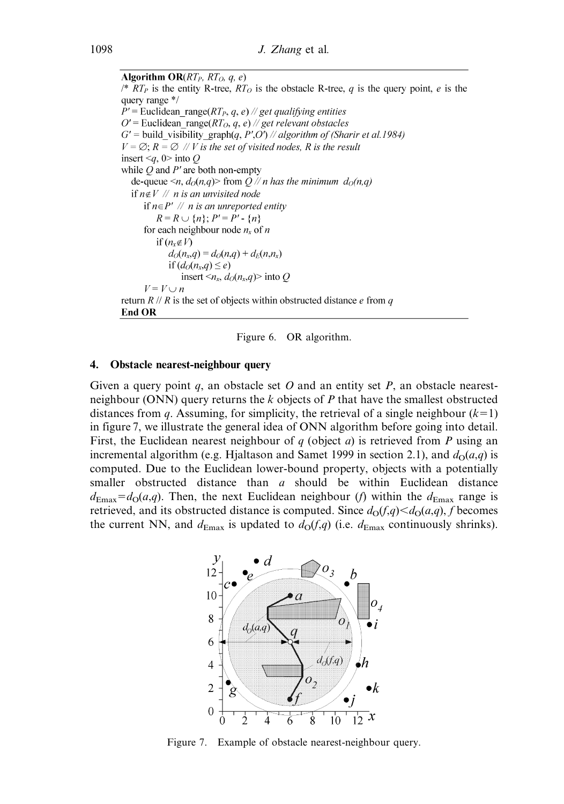**Algorithm OR** $(RT_P, RT_O, q, e)$ /\*  $RT_P$  is the entity R-tree,  $RT_O$  is the obstacle R-tree, q is the query point, e is the query range \*/  $P'$  = Euclidean range(*RT<sub>P</sub>, q, e*) // get qualifying entities O' = Euclidean\_range( $RT_O$ , q, e) // get relevant obstacles  $G'$  = build visibility graph $(q, P', O')$  // algorithm of (Sharir et al.1984)  $V = \emptyset$ ;  $R = \emptyset$  // V is the set of visited nodes, R is the result insert  $\leq q$ , 0 into Q while  $Q$  and  $P'$  are both non-empty de-queue  $\leq n$ ,  $d_0(n,q)$  from  $Q \mathbin{/\!/} n$  has the minimum  $d_0(n,q)$ if  $n \notin V$  // n is an unvisited node if  $n \in P'$  // n is an unreported entity  $R = R \cup \{n\}; P' = P' - \{n\}$ for each neighbour node  $n_x$  of n if  $(n_x \notin V)$  $d_O(n_x,q) = d_O(n,q) + d_E(n,n_x)$ if  $(d_O(n_x,q) \leq e)$ insert  $\langle n_x, d_O(n_x, q) \rangle$  into Q  $V = V \cup n$ return  $R / R$  is the set of objects within obstructed distance e from q **End OR** 



#### 4. Obstacle nearest-neighbour query

Given a query point q, an obstacle set O and an entity set P, an obstacle nearestneighbour (ONN) query returns the  $k$  objects of  $P$  that have the smallest obstructed distances from q. Assuming, for simplicity, the retrieval of a single neighbour  $(k=1)$ in figure 7, we illustrate the general idea of ONN algorithm before going into detail. First, the Euclidean nearest neighbour of q (object a) is retrieved from P using an incremental algorithm (e.g. Hjaltason and Samet 1999 in section 2.1), and  $d<sub>O</sub>(a,q)$  is computed. Due to the Euclidean lower-bound property, objects with a potentially smaller obstructed distance than a should be within Euclidean distance  $d_{\text{Emax}}=d_{\text{O}}(a,q)$ . Then, the next Euclidean neighbour (f) within the  $d_{\text{Emax}}$  range is retrieved, and its obstructed distance is computed. Since  $d_0(f,q) < d_0(a,q)$ , f becomes the current NN, and  $d_{\text{Emax}}$  is updated to  $d_{\text{O}}(f,q)$  (i.e.  $d_{\text{Emax}}$  continuously shrinks).



Figure 7. Example of obstacle nearest-neighbour query.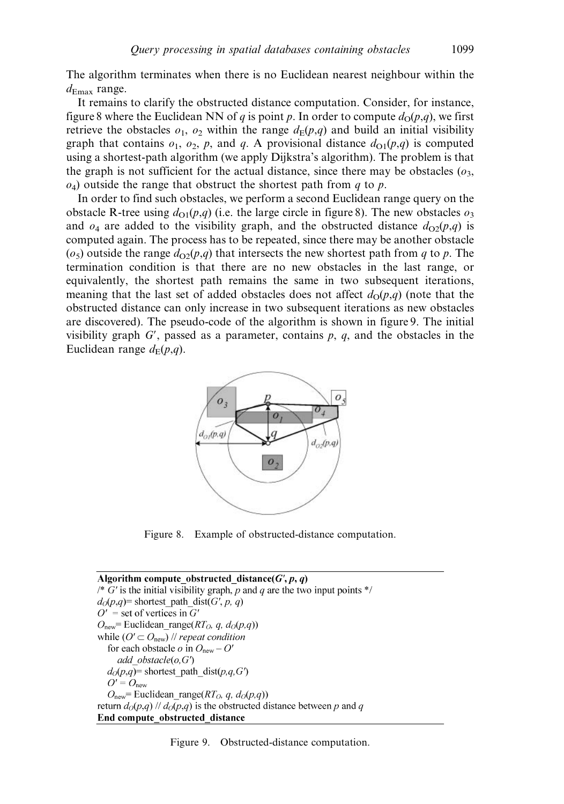The algorithm terminates when there is no Euclidean nearest neighbour within the  $d_{\text{Emax}}$  range.

It remains to clarify the obstructed distance computation. Consider, for instance, figure 8 where the Euclidean NN of q is point p. In order to compute  $d_0(p,q)$ , we first retrieve the obstacles  $o_1$ ,  $o_2$  within the range  $d_F(p,q)$  and build an initial visibility graph that contains  $o_1$ ,  $o_2$ , p, and q. A provisional distance  $d_{\Omega}(p,q)$  is computed using a shortest-path algorithm (we apply Dijkstra's algorithm). The problem is that the graph is not sufficient for the actual distance, since there may be obstacles  $(o_3,$  $o_4$ ) outside the range that obstruct the shortest path from q to p.

In order to find such obstacles, we perform a second Euclidean range query on the obstacle R-tree using  $d_{\Omega}(p,q)$  (i.e. the large circle in figure 8). The new obstacles  $o_3$ and  $o_4$  are added to the visibility graph, and the obstructed distance  $d_{\Omega}(p,q)$  is computed again. The process has to be repeated, since there may be another obstacle  $(o<sub>5</sub>)$  outside the range  $d_{\Omega}(p,q)$  that intersects the new shortest path from q to p. The termination condition is that there are no new obstacles in the last range, or equivalently, the shortest path remains the same in two subsequent iterations, meaning that the last set of added obstacles does not affect  $d_{\Omega}(p,q)$  (note that the obstructed distance can only increase in two subsequent iterations as new obstacles are discovered). The pseudo-code of the algorithm is shown in figure 9. The initial visibility graph  $G'$ , passed as a parameter, contains p, q, and the obstacles in the Euclidean range  $d_E(p,q)$ .



Figure 8. Example of obstructed-distance computation.

Algorithm compute obstructed distance( $G'$ ,  $p$ ,  $q$ ) /\* G' is the initial visibility graph, p and q are the two input points  $*/$  $d_O(p,q)$ = shortest path dist(G', p, q)  $O'$  = set of vertices in G'  $O_{\text{new}}$  Euclidean range(RT<sub>O</sub>, q,  $d_O(p,q)$ ) while  $(O' \subset O_{\text{new}})$  // repeat condition for each obstacle  $o$  in  $O_{\text{new}} - O'$ add obstacle $(o, G')$  $d_O(p,q)$ = shortest path dist $(p,q,G')$  $O' = O_{\text{new}}$  $O_{\text{new}}$  = Euclidean\_range( $RT_O$ , q,  $d_O(p,q)$ ) return  $d_O(p,q)$  //  $d_O(p,q)$  is the obstructed distance between p and q End compute\_obstructed\_distance

Figure 9. Obstructed-distance computation.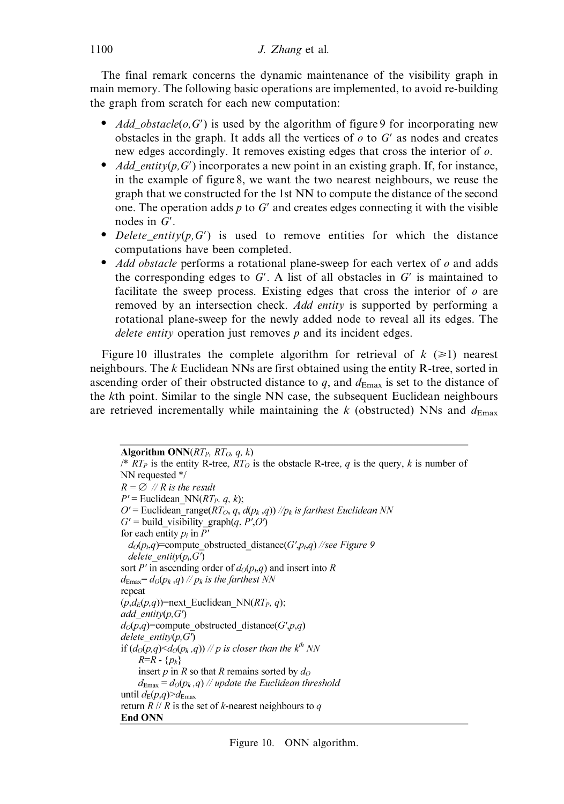The final remark concerns the dynamic maintenance of the visibility graph in main memory. The following basic operations are implemented, to avoid re-building the graph from scratch for each new computation:

- $\bullet$  *Add obstacle(o,G')* is used by the algorithm of figure 9 for incorporating new obstacles in the graph. It adds all the vertices of  $\sigma$  to  $G'$  as nodes and creates new edges accordingly. It removes existing edges that cross the interior of o.
- $\bullet$  *Add entity(p,G')* incorporates a new point in an existing graph. If, for instance, in the example of figure 8, we want the two nearest neighbours, we reuse the graph that we constructed for the 1st NN to compute the distance of the second one. The operation adds  $p$  to  $G'$  and creates edges connecting it with the visible nodes in  $G'$ .
- Delete\_entity( $p, G'$ ) is used to remove entities for which the distance computations have been completed.
- $\bullet$  *Add obstacle* performs a rotational plane-sweep for each vertex of  $\sigma$  and adds the corresponding edges to  $G'$ . A list of all obstacles in  $G'$  is maintained to facilitate the sweep process. Existing edges that cross the interior of  $\rho$  are removed by an intersection check. Add entity is supported by performing a rotational plane-sweep for the newly added node to reveal all its edges. The delete entity operation just removes  $p$  and its incident edges.

Figure 10 illustrates the complete algorithm for retrieval of  $k \geq 1$ ) nearest neighbours. The k Euclidean NNs are first obtained using the entity R-tree, sorted in ascending order of their obstructed distance to q, and  $d_{\text{Emax}}$  is set to the distance of the kth point. Similar to the single NN case, the subsequent Euclidean neighbours are retrieved incrementally while maintaining the k (obstructed) NNs and  $d_{\text{Emax}}$ 

```
Algorithm ONN(RT_P, RT_O, q, k)/* RT_P is the entity R-tree, RT_O is the obstacle R-tree, q is the query, k is number of
NN requested */
R = \emptyset // R is the result
P' = Euclidean NN(RT<sub>P</sub>, q, k);
O' = Euclidean range(RT_O, q, d(p_k, q)) //p_k is farthest Euclidean NN
G' = build visibility graph(q, P', O')for each entity p_i in P'
  d_O(p_i,q)=compute obstructed distance(G',p<sub>i</sub>,q) //see Figure 9
  delete entity(p_i, G')sort P' in ascending order of d_O(p_i,q) and insert into R
d_{\text{Emax}} = d_O(p_k, q) // p_k is the farthest NN
repeat
(p,d_E(p,q))=next Euclidean NN(RT<sub>P</sub>, q);
add entity(p, G')d_O(p,q)=compute obstructed distance(G',p,q)
delete entity(p, G')if (d_O(p,q) < d_O(p_k,q)) // p is closer than the k^{\text{th}} NN
    R=R - \{p_k\}insert p in R so that R remains sorted by d_0d_{\text{Emax}} = d_O(p_k, q) // update the Euclidean threshold
until d_E(p,q) \geq d_{\text{Emax}}return R \, || \, R is the set of k-nearest neighbours to q
End ONN
```
Figure 10. ONN algorithm.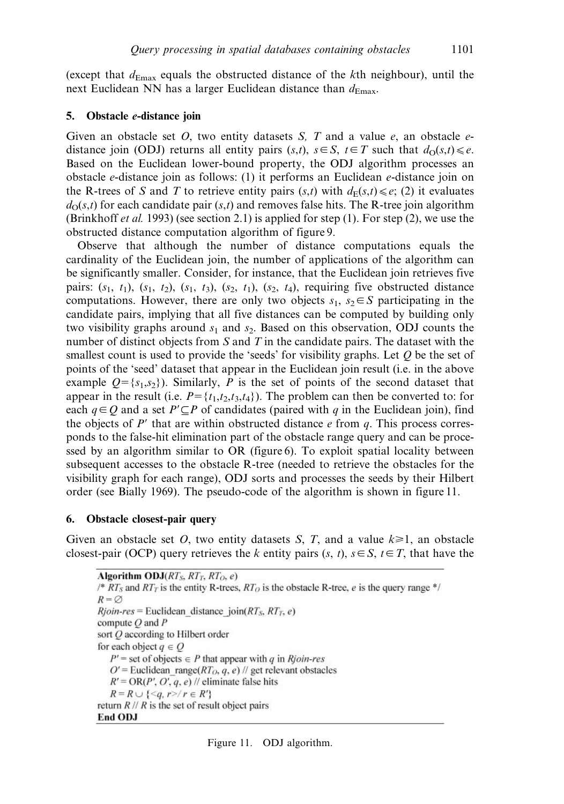(except that  $d_{\text{Emax}}$  equals the obstructed distance of the kth neighbour), until the next Euclidean NN has a larger Euclidean distance than  $d_{\text{Emax}}$ .

#### 5. Obstacle e-distance join

Given an obstacle set O, two entity datasets S, T and a value  $e$ , an obstacle  $e$ distance join (ODJ) returns all entity pairs  $(s,t)$ ,  $s \in S$ ,  $t \in T$  such that  $d_0(s,t) \leq e$ . Based on the Euclidean lower-bound property, the ODJ algorithm processes an obstacle e-distance join as follows: (1) it performs an Euclidean e-distance join on the R-trees of S and T to retrieve entity pairs  $(s,t)$  with  $d_E(s,t)\leq e$ ; (2) it evaluates  $d<sub>O</sub>(s,t)$  for each candidate pair (s,t) and removes false hits. The R-tree join algorithm (Brinkhoff *et al.* 1993) (see section 2.1) is applied for step (1). For step (2), we use the obstructed distance computation algorithm of figure 9.

Observe that although the number of distance computations equals the cardinality of the Euclidean join, the number of applications of the algorithm can be significantly smaller. Consider, for instance, that the Euclidean join retrieves five pairs:  $(s_1, t_1)$ ,  $(s_1, t_2)$ ,  $(s_1, t_3)$ ,  $(s_2, t_1)$ ,  $(s_2, t_4)$ , requiring five obstructed distance computations. However, there are only two objects  $s_1$ ,  $s_2 \in S$  participating in the candidate pairs, implying that all five distances can be computed by building only two visibility graphs around  $s_1$  and  $s_2$ . Based on this observation, ODJ counts the number of distinct objects from S and T in the candidate pairs. The dataset with the smallest count is used to provide the 'seeds' for visibility graphs. Let  $\ddot{o}$  be the set of points of the 'seed' dataset that appear in the Euclidean join result (i.e. in the above example  $Q = \{s_1, s_2\}$ . Similarly, P is the set of points of the second dataset that appear in the result (i.e.  $P = \{t_1, t_2, t_3, t_4\}$ ). The problem can then be converted to: for each  $q \in Q$  and a set  $P' \subset P$  of candidates (paired with q in the Euclidean join), find the objects of  $P'$  that are within obstructed distance e from q. This process corresponds to the false-hit elimination part of the obstacle range query and can be processed by an algorithm similar to OR (figure 6). To exploit spatial locality between subsequent accesses to the obstacle R-tree (needed to retrieve the obstacles for the visibility graph for each range), ODJ sorts and processes the seeds by their Hilbert order (see Bially 1969). The pseudo-code of the algorithm is shown in figure 11.

#### 6. Obstacle closest-pair query

Given an obstacle set O, two entity datasets S, T, and a value  $k \ge 1$ , an obstacle closest-pair (OCP) query retrieves the k entity pairs  $(s, t)$ ,  $s \in S$ ,  $t \in T$ , that have the

Algorithm ODJ(RTs, RTr, RTo, e) /\*  $RT_s$  and  $RT_T$  is the entity R-trees,  $RT_O$  is the obstacle R-tree, e is the query range \*/  $R = \emptyset$  $Rjoin-res = Euclidean distance join(RT<sub>S</sub>, RT<sub>T</sub>, e)$ compute  $Q$  and  $P$ sort O according to Hilbert order for each object  $q \in Q$  $P'$  = set of objects  $\in$  P that appear with q in Rioin-res  $O'$  = Euclidean range( $RT_O$ , q, e) // get relevant obstacles  $R' = OR(P', O', q, e)$  // eliminate false hits  $R = R \cup \{ \leq q, r > r \in R' \}$ return  $R / / R$  is the set of result object pairs End ODJ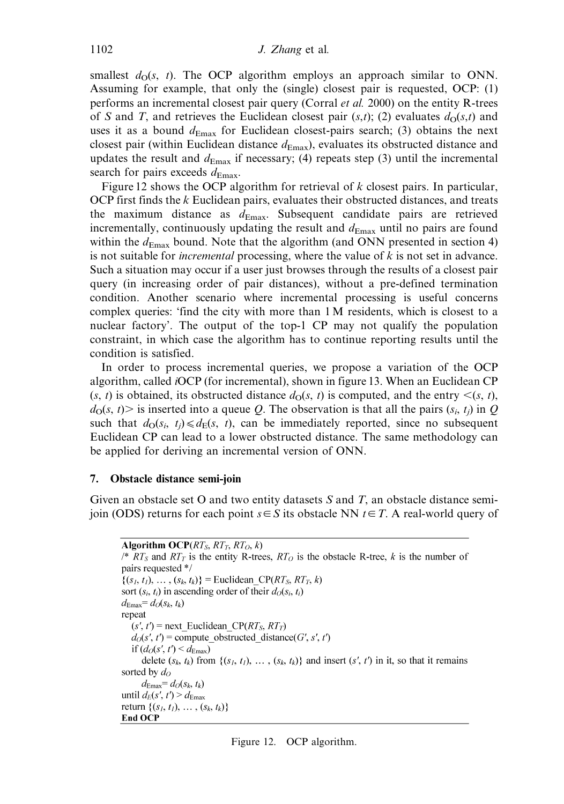smallest  $d<sub>O</sub>(s, t)$ . The OCP algorithm employs an approach similar to ONN. Assuming for example, that only the (single) closest pair is requested, OCP: (1) performs an incremental closest pair query (Corral et al. 2000) on the entity R-trees of S and T, and retrieves the Euclidean closest pair  $(s,t)$ ; (2) evaluates  $d<sub>O</sub>(s,t)$  and uses it as a bound  $d_{\text{Emax}}$  for Euclidean closest-pairs search; (3) obtains the next closest pair (within Euclidean distance  $d_{\text{Emax}}$ ), evaluates its obstructed distance and updates the result and  $d_{\text{Emax}}$  if necessary; (4) repeats step (3) until the incremental search for pairs exceeds  $d_{\text{Emax}}$ .

Figure 12 shows the OCP algorithm for retrieval of  $k$  closest pairs. In particular, OCP first finds the k Euclidean pairs, evaluates their obstructed distances, and treats the maximum distance as  $d_{\text{Emax}}$ . Subsequent candidate pairs are retrieved incrementally, continuously updating the result and  $d_{\text{Emax}}$  until no pairs are found within the  $d_{\text{Emax}}$  bound. Note that the algorithm (and ONN presented in section 4) is not suitable for *incremental* processing, where the value of  $k$  is not set in advance. Such a situation may occur if a user just browses through the results of a closest pair query (in increasing order of pair distances), without a pre-defined termination condition. Another scenario where incremental processing is useful concerns complex queries: 'find the city with more than 1 M residents, which is closest to a nuclear factory'. The output of the top-1 CP may not qualify the population constraint, in which case the algorithm has to continue reporting results until the condition is satisfied.

In order to process incremental queries, we propose a variation of the OCP algorithm, called iOCP (for incremental), shown in figure 13. When an Euclidean CP  $(s, t)$  is obtained, its obstructed distance  $d<sub>O</sub>(s, t)$  is computed, and the entry  $\leq (s, t)$ ,  $d<sub>O</sub>(s, t)$  is inserted into a queue Q. The observation is that all the pairs  $(s<sub>i</sub>, t<sub>i</sub>)$  in Q such that  $d_{\Omega}(s_i, t_i) \le d_E(s, t)$ , can be immediately reported, since no subsequent Euclidean CP can lead to a lower obstructed distance. The same methodology can be applied for deriving an incremental version of ONN.

### 7. Obstacle distance semi-join

Given an obstacle set O and two entity datasets  $S$  and  $T$ , an obstacle distance semijoin (ODS) returns for each point  $s \in S$  its obstacle NN  $t \in T$ . A real-world query of

```
Algorithm OCP(RT_S, RT_T, RT_O, k)
/* RT_S and RT_T is the entity R-trees, RT_O is the obstacle R-tree, k is the number of
pairs requested */
\{(s_1, t_1), \ldots, (s_k, t_k)\}\ = Euclidean CP(RT<sub>S</sub>, RT<sub>T</sub>, k)
sort (s_i, t_i) in ascending order of their d_O(s_i, t_i)d_{\text{Emax}} = d_O(s_k, t_k)repeat
   (s', t') = next Euclidean CP(RT<sub>S</sub>, RT<sub>T</sub>)
   d_O(s', t') = compute obstructed distance(G', s', t')
   if (d_O(s', t') \leq d_{\text{Emax}})delete (s_k, t_k) from \{(s_1, t_1), \ldots, (s_k, t_k)\}\ and insert (s', t') in it, so that it remains
sorted by d_0d_{\text{Emax}} = d_O(s_k, t_k)until d_E(s', t') > d_{\text{Emax}}return \{(s_1, t_1), \ldots, (s_k, t_k)\}\End OCP
```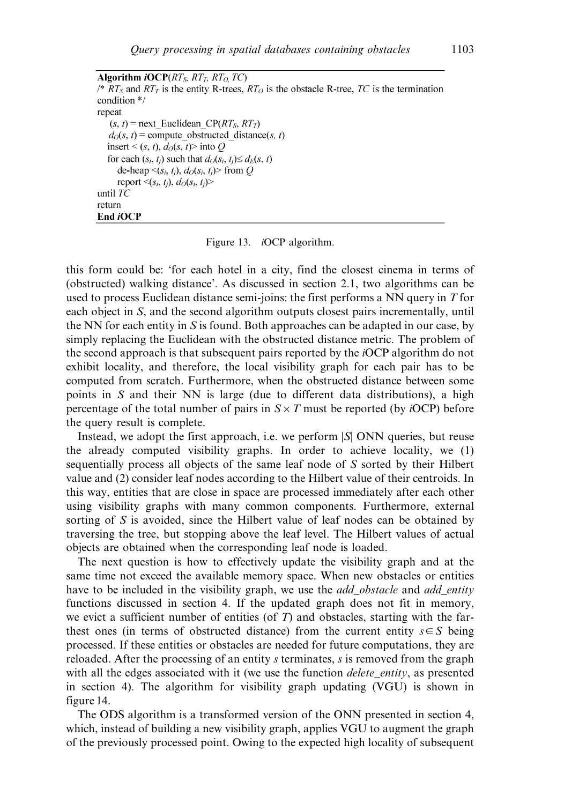Algorithm *iOCP* $(RT<sub>S</sub>, RT<sub>T</sub>, RT<sub>O</sub>, TC)$  $\sqrt{*}$   $RT_S$  and  $RT_T$  is the entity R-trees,  $RT_O$  is the obstacle R-tree, TC is the termination condition \*/ repeat  $(s, t)$  = next Euclidean CP(RT<sub>S</sub>, RT<sub>T</sub>)  $d_O(s, t)$  = compute obstructed distance(s, t) insert <  $(s, t)$ ,  $d_O(s, t)$  into O for each  $(s_i, t_i)$  such that  $d_O(s_i, t_i) \leq d_E(s, t)$ de-heap  $\leq (s_i, t_i)$ ,  $d_O(s_i, t_i)$  from O report  $\leq (s_i, t_i), d_O(s_i, t_i)$ until  $TC$ return End iOCP

### Figure 13. iOCP algorithm.

this form could be: 'for each hotel in a city, find the closest cinema in terms of (obstructed) walking distance'. As discussed in section 2.1, two algorithms can be used to process Euclidean distance semi-joins: the first performs a NN query in T for each object in S, and the second algorithm outputs closest pairs incrementally, until the NN for each entity in S is found. Both approaches can be adapted in our case, by simply replacing the Euclidean with the obstructed distance metric. The problem of the second approach is that subsequent pairs reported by the iOCP algorithm do not exhibit locality, and therefore, the local visibility graph for each pair has to be computed from scratch. Furthermore, when the obstructed distance between some points in S and their NN is large (due to different data distributions), a high percentage of the total number of pairs in  $S \times T$  must be reported (by *iOCP*) before the query result is complete.

Instead, we adopt the first approach, i.e. we perform |S| ONN queries, but reuse the already computed visibility graphs. In order to achieve locality, we (1) sequentially process all objects of the same leaf node of S sorted by their Hilbert value and (2) consider leaf nodes according to the Hilbert value of their centroids. In this way, entities that are close in space are processed immediately after each other using visibility graphs with many common components. Furthermore, external sorting of S is avoided, since the Hilbert value of leaf nodes can be obtained by traversing the tree, but stopping above the leaf level. The Hilbert values of actual objects are obtained when the corresponding leaf node is loaded.

The next question is how to effectively update the visibility graph and at the same time not exceed the available memory space. When new obstacles or entities have to be included in the visibility graph, we use the *add\_obstacle* and *add\_entity* functions discussed in section 4. If the updated graph does not fit in memory, we evict a sufficient number of entities (of  $T$ ) and obstacles, starting with the farthest ones (in terms of obstructed distance) from the current entity  $s \in S$  being processed. If these entities or obstacles are needed for future computations, they are reloaded. After the processing of an entity s terminates, s is removed from the graph with all the edges associated with it (we use the function *delete\_entity*, as presented in section 4). The algorithm for visibility graph updating (VGU) is shown in figure 14.

The ODS algorithm is a transformed version of the ONN presented in section 4, which, instead of building a new visibility graph, applies VGU to augment the graph of the previously processed point. Owing to the expected high locality of subsequent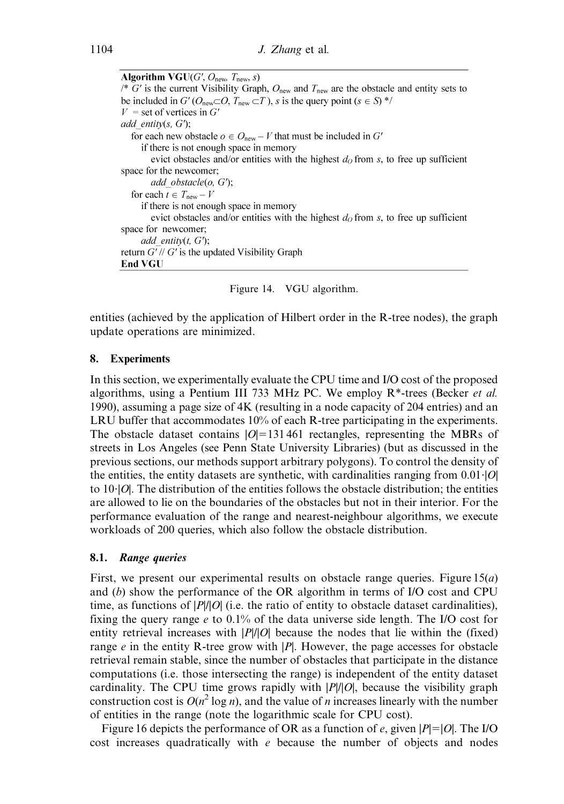**Algorithm VGU** $(G', O_{\text{new}}, T_{\text{new}}, s)$ /\*  $G'$  is the current Visibility Graph,  $O_{\text{new}}$  and  $T_{\text{new}}$  are the obstacle and entity sets to be included in G' ( $O_{\text{new}}\subset O$ ,  $T_{\text{new}}\subset T$ ), s is the query point  $(s \in S)$ <sup>\*/</sup>  $V =$  set of vertices in G' add entity(s,  $G$ ); for each new obstacle  $o \in O_{\text{new}} - V$  that must be included in G' if there is not enough space in memory evict obstacles and/or entities with the highest  $d_0$  from s, to free up sufficient space for the newcomer; add obstacle $(o, G)$ ; for each  $t \in T_{\text{new}} - V$ if there is not enough space in memory evict obstacles and/or entities with the highest  $d_0$  from s, to free up sufficient space for newcomer; add entity $(t, G')$ ; return  $G'/\sqrt{G'}$  is the updated Visibility Graph **End VGU** 

Figure 14. VGU algorithm.

entities (achieved by the application of Hilbert order in the R-tree nodes), the graph update operations are minimized.

### 8. Experiments

In this section, we experimentally evaluate the CPU time and I/O cost of the proposed algorithms, using a Pentium III 733 MHz PC. We employ  $R^*$ -trees (Becker *et al.*) 1990), assuming a page size of 4K (resulting in a node capacity of 204 entries) and an LRU buffer that accommodates 10% of each R-tree participating in the experiments. The obstacle dataset contains  $|O|=131 461$  rectangles, representing the MBRs of streets in Los Angeles (see Penn State University Libraries) (but as discussed in the previous sections, our methods support arbitrary polygons). To control the density of the entities, the entity datasets are synthetic, with cardinalities ranging from  $0.01 \cdot |O|$ to  $10$ . The distribution of the entities follows the obstacle distribution; the entities are allowed to lie on the boundaries of the obstacles but not in their interior. For the performance evaluation of the range and nearest-neighbour algorithms, we execute workloads of 200 queries, which also follow the obstacle distribution.

### 8.1. Range queries

First, we present our experimental results on obstacle range queries. Figure  $15(a)$ and (b) show the performance of the OR algorithm in terms of I/O cost and CPU time, as functions of  $|P||O|$  (i.e. the ratio of entity to obstacle dataset cardinalities), fixing the query range e to 0.1% of the data universe side length. The I/O cost for entity retrieval increases with  $|P||Q|$  because the nodes that lie within the (fixed) range  $e$  in the entity R-tree grow with  $|P|$ . However, the page accesses for obstacle retrieval remain stable, since the number of obstacles that participate in the distance computations (i.e. those intersecting the range) is independent of the entity dataset cardinality. The CPU time grows rapidly with  $|P|/|O|$ , because the visibility graph construction cost is  $O(n^2 \log n)$ , and the value of *n* increases linearly with the number of entities in the range (note the logarithmic scale for CPU cost).

Figure 16 depicts the performance of OR as a function of e, given  $|P|=|O|$ . The I/O cost increases quadratically with  $e$  because the number of objects and nodes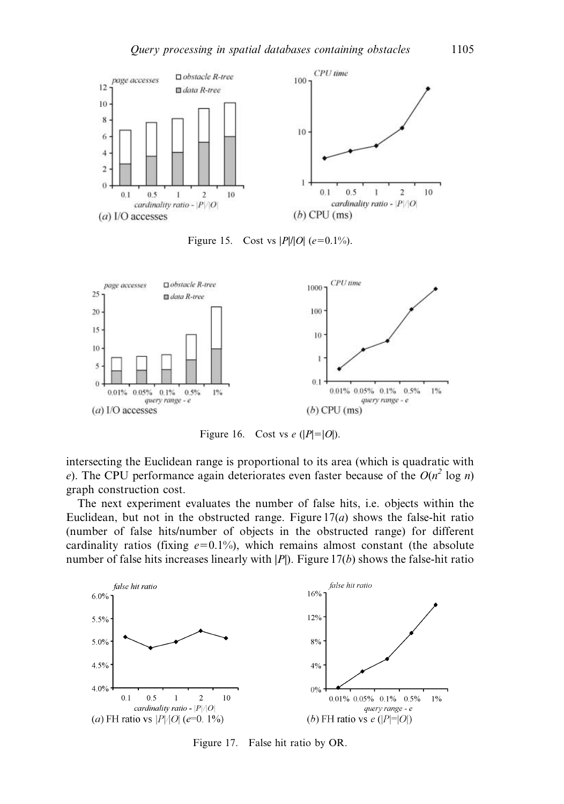

Figure 15. Cost vs  $|P|/|O|$  (e=0.1%).



Figure 16. Cost vs e  $(|P|=|O|)$ .

intersecting the Euclidean range is proportional to its area (which is quadratic with e). The CPU performance again deteriorates even faster because of the  $O(n^2 \log n)$ graph construction cost.

The next experiment evaluates the number of false hits, i.e. objects within the Euclidean, but not in the obstructed range. Figure  $17(a)$  shows the false-hit ratio (number of false hits/number of objects in the obstructed range) for different cardinality ratios (fixing  $e=0.1\%$ ), which remains almost constant (the absolute number of false hits increases linearly with  $|P|$ ). Figure 17(b) shows the false-hit ratio



Figure 17. False hit ratio by OR.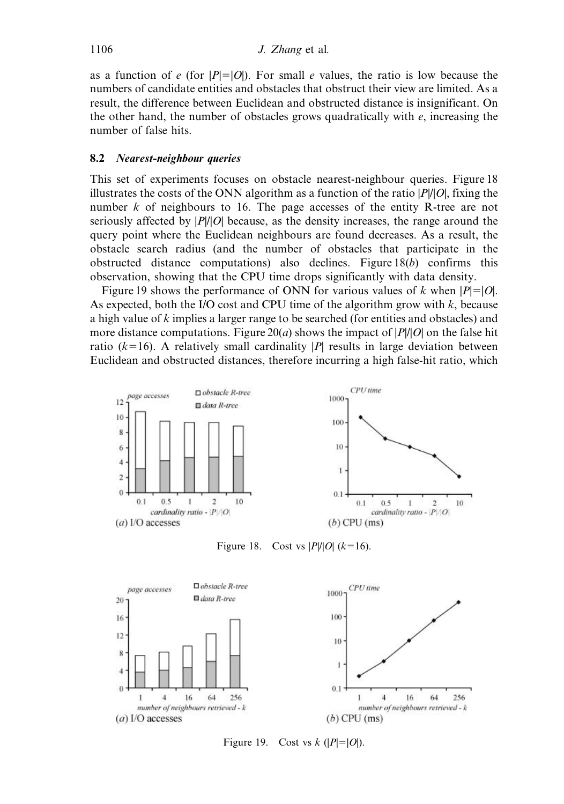as a function of e (for  $|P|=|O|$ ). For small e values, the ratio is low because the numbers of candidate entities and obstacles that obstruct their view are limited. As a result, the difference between Euclidean and obstructed distance is insignificant. On the other hand, the number of obstacles grows quadratically with  $e$ , increasing the number of false hits.

### 8.2 Nearest-neighbour queries

This set of experiments focuses on obstacle nearest-neighbour queries. Figure 18 illustrates the costs of the ONN algorithm as a function of the ratio  $|P|/|O|$ , fixing the number k of neighbours to 16. The page accesses of the entity R-tree are not seriously affected by  $|P|/|O|$  because, as the density increases, the range around the query point where the Euclidean neighbours are found decreases. As a result, the obstacle search radius (and the number of obstacles that participate in the obstructed distance computations) also declines. Figure  $18(b)$  confirms this observation, showing that the CPU time drops significantly with data density.

Figure 19 shows the performance of ONN for various values of k when  $|P|=|O|$ . As expected, both the I/O cost and CPU time of the algorithm grow with  $k$ , because a high value of k implies a larger range to be searched (for entities and obstacles) and more distance computations. Figure 20(*a*) shows the impact of  $|P||O|$  on the false hit ratio ( $k=16$ ). A relatively small cardinality |P| results in large deviation between Euclidean and obstructed distances, therefore incurring a high false-hit ratio, which



Figure 18. Cost vs  $|P|/|O|$  (k=16).



Figure 19. Cost vs  $k$  ( $|P|=|O|$ ).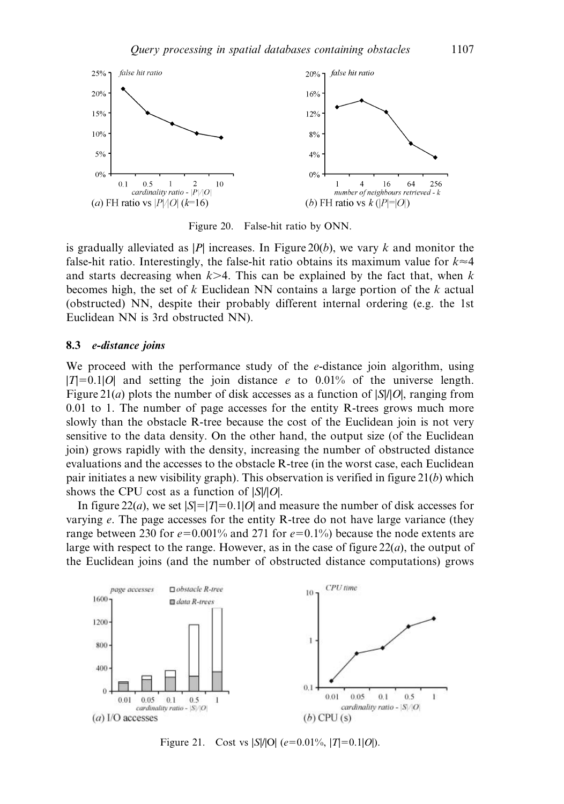

Figure 20. False-hit ratio by ONN.

is gradually alleviated as |P| increases. In Figure 20(b), we vary k and monitor the false-hit ratio. Interestingly, the false-hit ratio obtains its maximum value for  $k \approx 4$ and starts decreasing when  $k>4$ . This can be explained by the fact that, when k becomes high, the set of k Euclidean NN contains a large portion of the k actual (obstructed) NN, despite their probably different internal ordering (e.g. the 1st Euclidean NN is 3rd obstructed NN).

#### 8.3 e-distance joins

We proceed with the performance study of the *e*-distance join algorithm, using  $|T|=0.1|O|$  and setting the join distance e to 0.01% of the universe length. Figure 21(*a*) plots the number of disk accesses as a function of  $|S|/|O|$ , ranging from 0.01 to 1. The number of page accesses for the entity R-trees grows much more slowly than the obstacle R-tree because the cost of the Euclidean join is not very sensitive to the data density. On the other hand, the output size (of the Euclidean join) grows rapidly with the density, increasing the number of obstructed distance evaluations and the accesses to the obstacle R-tree (in the worst case, each Euclidean pair initiates a new visibility graph). This observation is verified in figure  $21(b)$  which shows the CPU cost as a function of  $|S|/|O|$ .

In figure 22(*a*), we set  $|S|=|T|=0.1|O|$  and measure the number of disk accesses for varying e. The page accesses for the entity R-tree do not have large variance (they range between 230 for  $e=0.001\%$  and 271 for  $e=0.1\%$ ) because the node extents are large with respect to the range. However, as in the case of figure  $22(a)$ , the output of the Euclidean joins (and the number of obstructed distance computations) grows



Figure 21. Cost vs |S|/|O| (e=0.01%, |T|=0.1|O|).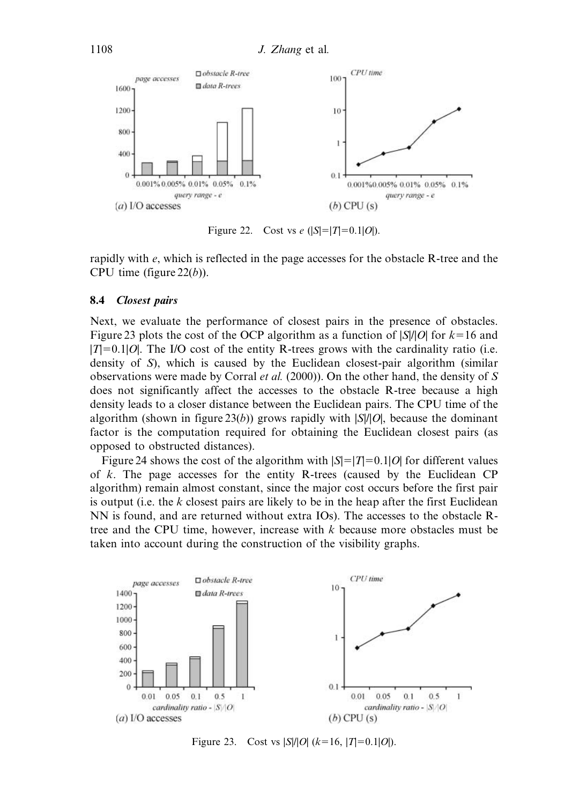

Figure 22. Cost vs e  $(|S|=|T|=0.1|O|)$ .

rapidly with e, which is reflected in the page accesses for the obstacle R-tree and the CPU time (figure  $22(b)$ ).

### 8.4 Closest pairs

Next, we evaluate the performance of closest pairs in the presence of obstacles. Figure 23 plots the cost of the OCP algorithm as a function of  $|S|/|O|$  for  $k=16$  and  $|T|=0.1|O|$ . The I/O cost of the entity R-trees grows with the cardinality ratio (i.e. density of S), which is caused by the Euclidean closest-pair algorithm (similar observations were made by Corral *et al.* (2000)). On the other hand, the density of S does not significantly affect the accesses to the obstacle R-tree because a high density leads to a closer distance between the Euclidean pairs. The CPU time of the algorithm (shown in figure 23(b)) grows rapidly with  $|S|/|O|$ , because the dominant factor is the computation required for obtaining the Euclidean closest pairs (as opposed to obstructed distances).

Figure 24 shows the cost of the algorithm with  $|S|=|T|=0.1|O|$  for different values of  $k$ . The page accesses for the entity R-trees (caused by the Euclidean CP algorithm) remain almost constant, since the major cost occurs before the first pair is output (i.e. the  $k$  closest pairs are likely to be in the heap after the first Euclidean NN is found, and are returned without extra IOs). The accesses to the obstacle Rtree and the CPU time, however, increase with  $k$  because more obstacles must be taken into account during the construction of the visibility graphs.



Figure 23. Cost vs  $|S|/|O|$  ( $k=16$ ,  $|T|=0.1|O|$ ).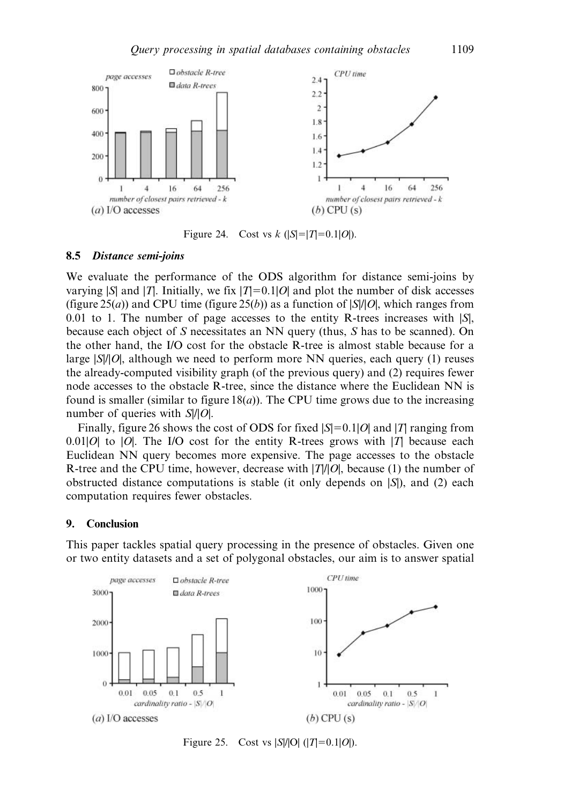

Figure 24. Cost vs k  $(|S|=|T|=0.1|O|)$ .

#### 8.5 Distance semi-joins

We evaluate the performance of the ODS algorithm for distance semi-joins by varying  $|S|$  and  $|T|$ . Initially, we fix  $|T|=0.1|O|$  and plot the number of disk accesses (figure 25(*a*)) and CPU time (figure 25(*b*)) as a function of  $|S|/|O|$ , which ranges from 0.01 to 1. The number of page accesses to the entity R-trees increases with  $|S|$ , because each object of S necessitates an NN query (thus, S has to be scanned). On the other hand, the I/O cost for the obstacle R-tree is almost stable because for a large  $|S||0|$ , although we need to perform more NN queries, each query (1) reuses the already-computed visibility graph (of the previous query) and (2) requires fewer node accesses to the obstacle R-tree, since the distance where the Euclidean NN is found is smaller (similar to figure  $18(a)$ ). The CPU time grows due to the increasing number of queries with  $S||O|$ .

Finally, figure 26 shows the cost of ODS for fixed  $|S|=0.1|O|$  and |T| ranging from 0.01|O| to |O|. The I/O cost for the entity R-trees grows with  $|T|$  because each Euclidean NN query becomes more expensive. The page accesses to the obstacle R-tree and the CPU time, however, decrease with  $|T||\hat{O}|$ , because (1) the number of obstructed distance computations is stable (it only depends on  $|S|$ ), and (2) each computation requires fewer obstacles.

### 9. Conclusion

 $\ddot{0}$ 

 $0.01$ 

 $(a)$  I/O accesses

0.05

 $0.1$ 

cardinality ratio -  $|S|/O$ 

 $0.5$ 

 $\mathbf{1}$ 



This paper tackles spatial query processing in the presence of obstacles. Given one or two entity datasets and a set of polygonal obstacles, our aim is to answer spatial

Figure 25. Cost vs  $|S|/|O|$  ( $|T|=0.1|O|$ ).

 $\,$  1  $\,$ 

 $0.01$ 

 $(b)$  CPU $(s)$ 

 $0.05$ 

 $0.1$ 

cardinality ratio -  $|S|/|O|$ 

 $0.5$ 

Ï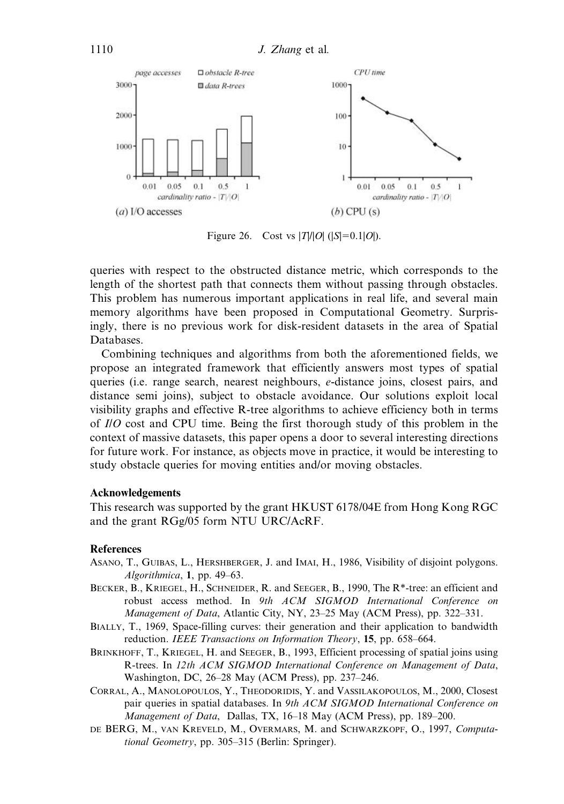

Figure 26. Cost vs  $|T|/|O|$  ( $|S|=0.1|O|$ ).

queries with respect to the obstructed distance metric, which corresponds to the length of the shortest path that connects them without passing through obstacles. This problem has numerous important applications in real life, and several main memory algorithms have been proposed in Computational Geometry. Surprisingly, there is no previous work for disk-resident datasets in the area of Spatial Databases.

Combining techniques and algorithms from both the aforementioned fields, we propose an integrated framework that efficiently answers most types of spatial queries (i.e. range search, nearest neighbours, e-distance joins, closest pairs, and distance semi joins), subject to obstacle avoidance. Our solutions exploit local visibility graphs and effective R-tree algorithms to achieve efficiency both in terms of I/O cost and CPU time. Being the first thorough study of this problem in the context of massive datasets, this paper opens a door to several interesting directions for future work. For instance, as objects move in practice, it would be interesting to study obstacle queries for moving entities and/or moving obstacles.

### Acknowledgements

This research was supported by the grant HKUST 6178/04E from Hong Kong RGC and the grant RGg/05 form NTU URC/AcRF.

### References

- ASANO, T., GUIBAS, L., HERSHBERGER, J. and IMAI, H., 1986, Visibility of disjoint polygons. Algorithmica, 1, pp. 49–63.
- BECKER, B., KRIEGEL, H., SCHNEIDER, R. and SEEGER, B., 1990, The R\*-tree: an efficient and robust access method. In 9th ACM SIGMOD International Conference on Management of Data, Atlantic City, NY, 23-25 May (ACM Press), pp. 322-331.
- BIALLY, T., 1969, Space-filling curves: their generation and their application to bandwidth reduction. IEEE Transactions on Information Theory, 15, pp. 658–664.
- BRINKHOFF, T., KRIEGEL, H. and SEEGER, B., 1993, Efficient processing of spatial joins using R-trees. In 12th ACM SIGMOD International Conference on Management of Data, Washington, DC, 26–28 May (ACM Press), pp. 237–246.
- CORRAL, A., MANOLOPOULOS, Y., THEODORIDIS, Y. and VASSILAKOPOULOS, M., 2000, Closest pair queries in spatial databases. In 9th ACM SIGMOD International Conference on Management of Data, Dallas, TX, 16–18 May (ACM Press), pp. 189–200.
- DE BERG, M., VAN KREVELD, M., OVERMARS, M. and SCHWARZKOPF, O., 1997, Computational Geometry, pp. 305–315 (Berlin: Springer).